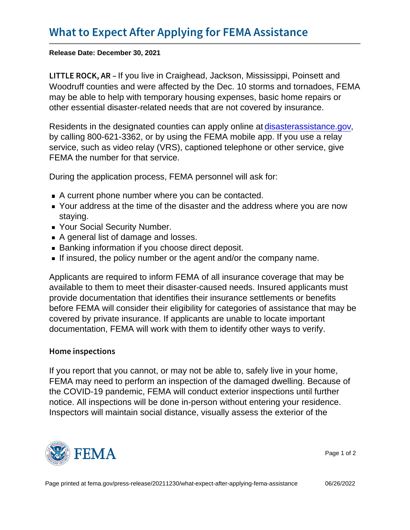Release Date: December 30, 2021

LITTLE ROCI Kou IA Rein Craighead, Jackson, Mississippi, Poinsett and Woodruff counties and were affected by the Dec. 10 storms and tornadoes, FEMA may be able to help with temporary housing expenses, basic home repairs or other essential disaster-related needs that are not covered by insurance.

Residents in the designated counties can apply online at [disasterassistance.gov](http://www.disasterassistance.gov/), by calling 800-621-3362, or by using the FEMA mobile app. If you use a relay service, such as video relay (VRS), captioned telephone or other service, give FEMA the number for that service.

During the application process, FEMA personnel will ask for:

- A current phone number where you can be contacted.
- Your address at the time of the disaster and the address where you are now staying.
- **Your Social Security Number.**
- A general list of damage and losses.
- **Banking information if you choose direct deposit.**
- If insured, the policy number or the agent and/or the company name.

Applicants are required to inform FEMA of all insurance coverage that may be available to them to meet their disaster-caused needs. Insured applicants must provide documentation that identifies their insurance settlements or benefits before FEMA will consider their eligibility for categories of assistance that may be covered by private insurance. If applicants are unable to locate important documentation, FEMA will work with them to identify other ways to verify.

## Home inspections

If you report that you cannot, or may not be able to, safely live in your home, FEMA may need to perform an inspection of the damaged dwelling. Because of the COVID-19 pandemic, FEMA will conduct exterior inspections until further notice. All inspections will be done in-person without entering your residence. Inspectors will maintain social distance, visually assess the exterior of the



Page 1 of 2